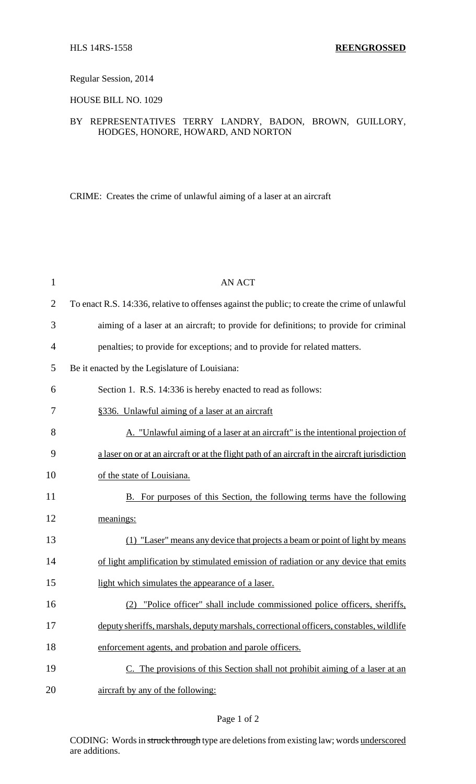# Regular Session, 2014

HOUSE BILL NO. 1029

# BY REPRESENTATIVES TERRY LANDRY, BADON, BROWN, GUILLORY, HODGES, HONORE, HOWARD, AND NORTON

CRIME: Creates the crime of unlawful aiming of a laser at an aircraft

| $\mathbf{1}$   | <b>AN ACT</b>                                                                                  |
|----------------|------------------------------------------------------------------------------------------------|
| $\overline{2}$ | To enact R.S. 14:336, relative to offenses against the public; to create the crime of unlawful |
| 3              | aiming of a laser at an aircraft; to provide for definitions; to provide for criminal          |
| 4              | penalties; to provide for exceptions; and to provide for related matters.                      |
| 5              | Be it enacted by the Legislature of Louisiana:                                                 |
| 6              | Section 1. R.S. 14:336 is hereby enacted to read as follows:                                   |
| 7              | §336. Unlawful aiming of a laser at an aircraft                                                |
| 8              | A. "Unlawful aiming of a laser at an aircraft" is the intentional projection of                |
| 9              | a laser on or at an aircraft or at the flight path of an aircraft in the aircraft jurisdiction |
| 10             | of the state of Louisiana.                                                                     |
| 11             | B. For purposes of this Section, the following terms have the following                        |
| 12             | meanings:                                                                                      |
| 13             | (1) "Laser" means any device that projects a beam or point of light by means                   |
| 14             | of light amplification by stimulated emission of radiation or any device that emits            |
| 15             | light which simulates the appearance of a laser.                                               |
| 16             | "Police officer" shall include commissioned police officers, sheriffs,<br>(2)                  |
| 17             | deputy sheriffs, marshals, deputy marshals, correctional officers, constables, wildlife        |
| 18             | enforcement agents, and probation and parole officers.                                         |
| 19             | C. The provisions of this Section shall not prohibit aiming of a laser at an                   |
| 20             | aircraft by any of the following:                                                              |

### Page 1 of 2

CODING: Words in struck through type are deletions from existing law; words underscored are additions.